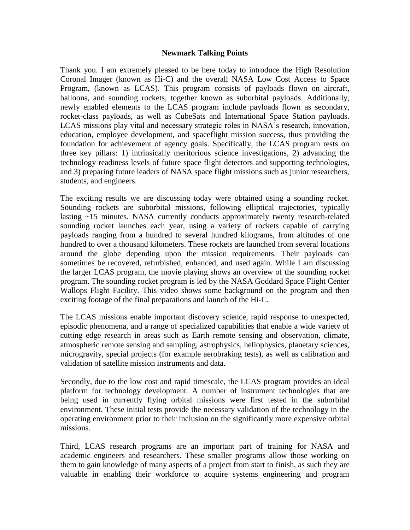## **Newmark Talking Points**

Thank you. I am extremely pleased to be here today to introduce the High Resolution Coronal Imager (known as Hi-C) and the overall NASA Low Cost Access to Space Program, (known as LCAS). This program consists of payloads flown on aircraft, balloons, and sounding rockets, together known as suborbital payloads. Additionally, newly enabled elements to the LCAS program include payloads flown as secondary, rocket-class payloads, as well as CubeSats and International Space Station payloads. LCAS missions play vital and necessary strategic roles in NASA's research, innovation, education, employee development, and spaceflight mission success, thus providing the foundation for achievement of agency goals. Specifically, the LCAS program rests on three key pillars: 1) intrinsically meritorious science investigations, 2) advancing the technology readiness levels of future space flight detectors and supporting technologies, and 3) preparing future leaders of NASA space flight missions such as junior researchers, students, and engineers.

The exciting results we are discussing today were obtained using a sounding rocket. Sounding rockets are suborbital missions, following elliptical trajectories, typically lasting ~15 minutes. NASA currently conducts approximately twenty research-related sounding rocket launches each year, using a variety of rockets capable of carrying payloads ranging from a hundred to several hundred kilograms, from altitudes of one hundred to over a thousand kilometers. These rockets are launched from several locations around the globe depending upon the mission requirements. Their payloads can sometimes be recovered, refurbished, enhanced, and used again. While I am discussing the larger LCAS program, the movie playing shows an overview of the sounding rocket program. The sounding rocket program is led by the NASA Goddard Space Flight Center Wallops Flight Facility. This video shows some background on the program and then exciting footage of the final preparations and launch of the Hi-C.

The LCAS missions enable important discovery science, rapid response to unexpected, episodic phenomena, and a range of specialized capabilities that enable a wide variety of cutting edge research in areas such as Earth remote sensing and observation, climate, atmospheric remote sensing and sampling, astrophysics, heliophysics, planetary sciences, microgravity, special projects (for example aerobraking tests), as well as calibration and validation of satellite mission instruments and data.

Secondly, due to the low cost and rapid timescale, the LCAS program provides an ideal platform for technology development. A number of instrument technologies that are being used in currently flying orbital missions were first tested in the suborbital environment. These initial tests provide the necessary validation of the technology in the operating environment prior to their inclusion on the significantly more expensive orbital missions.

Third, LCAS research programs are an important part of training for NASA and academic engineers and researchers. These smaller programs allow those working on them to gain knowledge of many aspects of a project from start to finish, as such they are valuable in enabling their workforce to acquire systems engineering and program